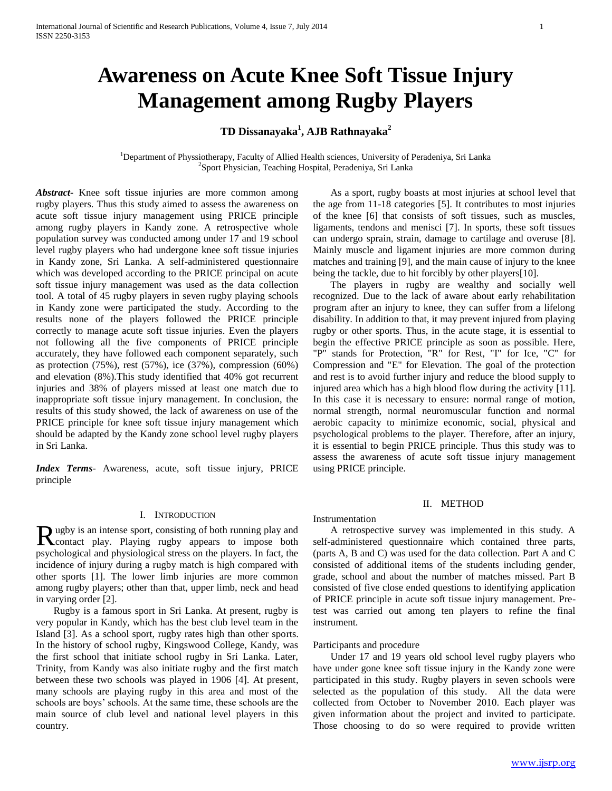# **Awareness on Acute Knee Soft Tissue Injury Management among Rugby Players**

## **TD Dissanayaka<sup>1</sup> , AJB Rathnayaka<sup>2</sup>**

<sup>1</sup>Department of Physsiotherapy, Faculty of Allied Health sciences, University of Peradeniya, Sri Lanka 2 Sport Physician, Teaching Hospital, Peradeniya, Sri Lanka

*Abstract***-** Knee soft tissue injuries are more common among rugby players. Thus this study aimed to assess the awareness on acute soft tissue injury management using PRICE principle among rugby players in Kandy zone. A retrospective whole population survey was conducted among under 17 and 19 school level rugby players who had undergone knee soft tissue injuries in Kandy zone, Sri Lanka. A self-administered questionnaire which was developed according to the PRICE principal on acute soft tissue injury management was used as the data collection tool. A total of 45 rugby players in seven rugby playing schools in Kandy zone were participated the study. According to the results none of the players followed the PRICE principle correctly to manage acute soft tissue injuries. Even the players not following all the five components of PRICE principle accurately, they have followed each component separately, such as protection (75%), rest (57%), ice (37%), compression (60%) and elevation (8%).This study identified that 40% got recurrent injuries and 38% of players missed at least one match due to inappropriate soft tissue injury management. In conclusion, the results of this study showed, the lack of awareness on use of the PRICE principle for knee soft tissue injury management which should be adapted by the Kandy zone school level rugby players in Sri Lanka.

*Index Terms*- Awareness, acute, soft tissue injury, PRICE principle

### I. INTRODUCTION

ugby is an intense sport, consisting of both running play and Rugby is an intense sport, consisting of both running play and contact play. Playing rugby appears to impose both psychological and physiological stress on the players. In fact, the incidence of injury during a rugby match is high compared with other sports [1]. The lower limb injuries are more common among rugby players; other than that, upper limb, neck and head in varying order [2].

 Rugby is a famous sport in Sri Lanka. At present, rugby is very popular in Kandy, which has the best club level team in the Island [3]. As a school sport, rugby rates high than other sports. In the history of school rugby, Kingswood College, Kandy, was the first school that initiate school rugby in Sri Lanka. Later, Trinity, from Kandy was also initiate rugby and the first match between these two schools was played in 1906 [4]. At present, many schools are playing rugby in this area and most of the schools are boys' schools. At the same time, these schools are the main source of club level and national level players in this country.

 As a sport, rugby boasts at most injuries at school level that the age from 11-18 categories [5]. It contributes to most injuries of the knee [6] that consists of soft tissues, such as muscles, ligaments, tendons and menisci [7]. In sports, these soft tissues can undergo sprain, strain, damage to cartilage and overuse [8]. Mainly muscle and ligament injuries are more common during matches and training [9], and the main cause of injury to the knee being the tackle, due to hit forcibly by other players[10].

 The players in rugby are wealthy and socially well recognized. Due to the lack of aware about early rehabilitation program after an injury to knee, they can suffer from a lifelong disability. In addition to that, it may prevent injured from playing rugby or other sports. Thus, in the acute stage, it is essential to begin the effective PRICE principle as soon as possible. Here, "P" stands for Protection, "R" for Rest, "I" for Ice, "C" for Compression and "E" for Elevation. The goal of the protection and rest is to avoid further injury and reduce the blood supply to injured area which has a high blood flow during the activity [11]. In this case it is necessary to ensure: normal range of motion, normal strength, normal neuromuscular function and normal aerobic capacity to minimize economic, social, physical and psychological problems to the player. Therefore, after an injury, it is essential to begin PRICE principle. Thus this study was to assess the awareness of acute soft tissue injury management using PRICE principle.

### II. METHOD

## Instrumentation

 A retrospective survey was implemented in this study. A self-administered questionnaire which contained three parts, (parts A, B and C) was used for the data collection. Part A and C consisted of additional items of the students including gender, grade, school and about the number of matches missed. Part B consisted of five close ended questions to identifying application of PRICE principle in acute soft tissue injury management. Pretest was carried out among ten players to refine the final instrument.

#### Participants and procedure

 Under 17 and 19 years old school level rugby players who have under gone knee soft tissue injury in the Kandy zone were participated in this study. Rugby players in seven schools were selected as the population of this study. All the data were collected from October to November 2010. Each player was given information about the project and invited to participate. Those choosing to do so were required to provide written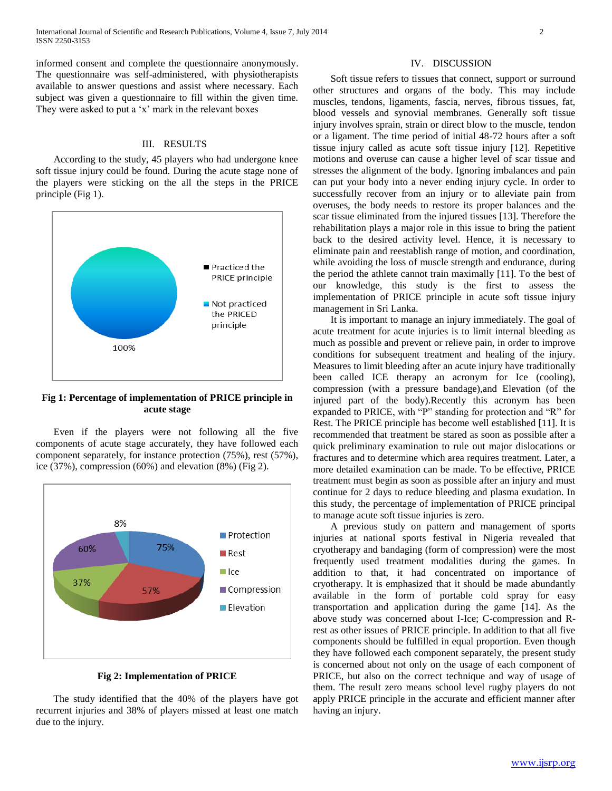informed consent and complete the questionnaire anonymously. The questionnaire was self-administered, with physiotherapists available to answer questions and assist where necessary. Each subject was given a questionnaire to fill within the given time. They were asked to put a 'x' mark in the relevant boxes

### III. RESULTS

 According to the study, 45 players who had undergone knee soft tissue injury could be found. During the acute stage none of the players were sticking on the all the steps in the PRICE principle (Fig 1).



## **Fig 1: Percentage of implementation of PRICE principle in acute stage**

 Even if the players were not following all the five components of acute stage accurately, they have followed each component separately, for instance protection (75%), rest (57%), ice (37%), compression (60%) and elevation (8%) (Fig 2).



#### **Fig 2: Implementation of PRICE**

 The study identified that the 40% of the players have got recurrent injuries and 38% of players missed at least one match due to the injury.

#### IV. DISCUSSION

 Soft tissue refers to tissues that connect, support or surround other structures and organs of the body. This may include muscles, tendons, ligaments, fascia, nerves, fibrous tissues, fat, blood vessels and synovial membranes. Generally soft tissue injury involves sprain, strain or direct blow to the muscle, tendon or a ligament. The time period of initial 48-72 hours after a soft tissue injury called as acute soft tissue injury [12]. Repetitive motions and overuse can cause a higher level of scar tissue and stresses the alignment of the body. Ignoring imbalances and pain can put your body into a never ending injury cycle. In order to successfully recover from an injury or to alleviate pain from overuses, the body needs to restore its proper balances and the scar tissue eliminated from the injured tissues [13]. Therefore the rehabilitation plays a major role in this issue to bring the patient back to the desired activity level. Hence, it is necessary to eliminate pain and reestablish range of motion, and coordination, while avoiding the loss of muscle strength and endurance, during the period the athlete cannot train maximally [11]. To the best of our knowledge, this study is the first to assess the implementation of PRICE principle in acute soft tissue injury management in Sri Lanka.

 It is important to manage an injury immediately. The goal of acute treatment for acute injuries is to limit internal bleeding as much as possible and prevent or relieve pain, in order to improve conditions for subsequent treatment and healing of the injury. Measures to limit bleeding after an acute injury have traditionally been called ICE therapy an acronym for Ice (cooling), compression (with a pressure bandage),and Elevation (of the injured part of the body).Recently this acronym has been expanded to PRICE, with "P" standing for protection and "R" for Rest. The PRICE principle has become well established [11]. It is recommended that treatment be stared as soon as possible after a quick preliminary examination to rule out major dislocations or fractures and to determine which area requires treatment. Later, a more detailed examination can be made. To be effective, PRICE treatment must begin as soon as possible after an injury and must continue for 2 days to reduce bleeding and plasma exudation. In this study, the percentage of implementation of PRICE principal to manage acute soft tissue injuries is zero.

 A previous study on pattern and management of sports injuries at national sports festival in Nigeria revealed that cryotherapy and bandaging (form of compression) were the most frequently used treatment modalities during the games. In addition to that, it had concentrated on importance of cryotherapy. It is emphasized that it should be made abundantly available in the form of portable cold spray for easy transportation and application during the game [14]. As the above study was concerned about I-Ice; C-compression and Rrest as other issues of PRICE principle. In addition to that all five components should be fulfilled in equal proportion. Even though they have followed each component separately, the present study is concerned about not only on the usage of each component of PRICE, but also on the correct technique and way of usage of them. The result zero means school level rugby players do not apply PRICE principle in the accurate and efficient manner after having an injury.